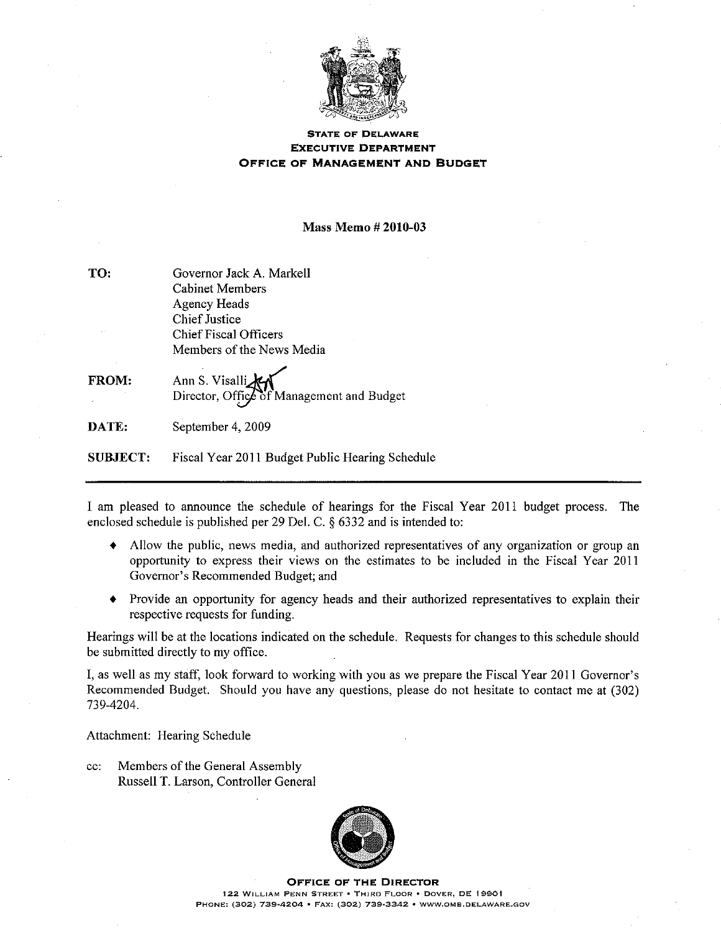

## **STATE OF DELAWARE EXECUTIVE DEPARTMENT** OFFICE OF MANAGEMENT AND BUDGET

**Mass Memo # 2010-03** 

| TO:             | Governor Jack A. Markell                                    |  |  |  |
|-----------------|-------------------------------------------------------------|--|--|--|
|                 | <b>Cabinet Members</b>                                      |  |  |  |
|                 | Agency Heads                                                |  |  |  |
|                 | <b>Chief Instice</b>                                        |  |  |  |
|                 | Chief Fiscal Officers                                       |  |  |  |
|                 | Members of the News Media                                   |  |  |  |
| <b>FROM:</b>    | Ann S. Visalli<br>Director, Office of Management and Budget |  |  |  |
| DATE:           | September 4, 2009                                           |  |  |  |
| <b>SUBJECT:</b> | Fiscal Year 2011 Budget Public Hearing Schedule             |  |  |  |

I am pleased to announce the schedule of hearings for the Fiscal Year 2011 budget process. The enclosed schedule is published per 29 Del. C. § 6332 and is intended to:

- Allow the public, news media, and authorized representatives of any organization or group an opportunity to express their views on the estimates to be included in the Fiscal Year 2011 Governor's Recommended Budget; and
- $\blacklozenge$ Provide an opportunity for agency heads and their authorized representatives to explain their respective requests for funding.

Hearings will be at the locations indicated on the schedule. Requests for changes to this schedule should be submitted directly to my office.

I, as well as my staff, look forward to working with you as we prepare the Fiscal Year 2011 Governor's Recommended Budget. Should you have any questions, please do not hesitate to contact me at (302) 739-4204.

Attachment: Hearing Schedule

 $cc$ : Members of the General Assembly Russell T. Larson, Controller General



**OFFICE OF THE DIRECTOR** 122 WILLIAM PENN STREET . THIRD FLOOR . DOVER, DE 19901 PHONE: (302) 739-4204 · FAX: (302) 739-3342 · WWW.OMB.DELAWARE.GOV